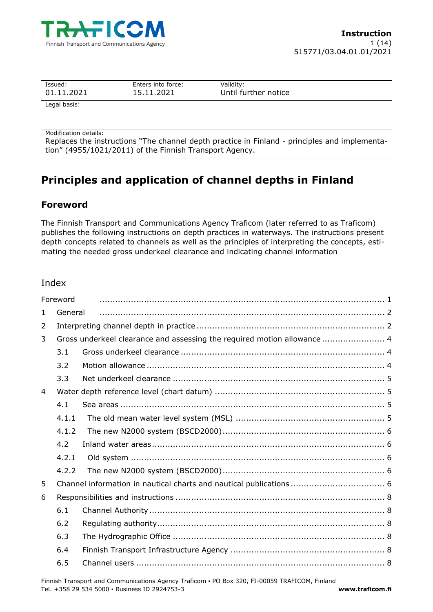

| Issued:         | Enters into force: | Validity :           |  |
|-----------------|--------------------|----------------------|--|
| 01.11.2021      | 15.11.2021         | Until further notice |  |
| المتموما الموما |                    |                      |  |

Legal basis:

Modification details:

Replaces the instructions "The channel depth practice in Finland - principles and implementation" (4955/1021/2011) of the Finnish Transport Agency.

# **Principles and application of channel depths in Finland**

# **Foreword**

The Finnish Transport and Communications Agency Traficom (later referred to as Traficom) publishes the following instructions on depth practices in waterways. The instructions present depth concepts related to channels as well as the principles of interpreting the concepts, estimating the needed gross underkeel clearance and indicating channel information

# Index

|                | Foreword                                                                 |  |  |  |
|----------------|--------------------------------------------------------------------------|--|--|--|
| $\mathbf{1}$   | General                                                                  |  |  |  |
| 2              |                                                                          |  |  |  |
| 3              | Gross underkeel clearance and assessing the required motion allowance  4 |  |  |  |
|                | 3.1                                                                      |  |  |  |
|                | 3.2                                                                      |  |  |  |
|                | 3.3                                                                      |  |  |  |
| $\overline{4}$ |                                                                          |  |  |  |
|                | 4.1                                                                      |  |  |  |
|                | 4.1.1                                                                    |  |  |  |
|                | 4.1.2                                                                    |  |  |  |
|                | 4.2                                                                      |  |  |  |
|                | 4.2.1                                                                    |  |  |  |
|                | 4.2.2                                                                    |  |  |  |
| 5              |                                                                          |  |  |  |
| 6              |                                                                          |  |  |  |
|                | 6.1                                                                      |  |  |  |
|                | 6.2                                                                      |  |  |  |
|                | 6.3                                                                      |  |  |  |
|                | 6.4                                                                      |  |  |  |
|                | 6.5                                                                      |  |  |  |

Finnish Transport and Communications Agency Traficom ▪ PO Box 320, FI-00059 TRAFICOM, Finland Tel. +358 29 534 5000 ▪ Business ID 2924753-3 **www.traficom.fi**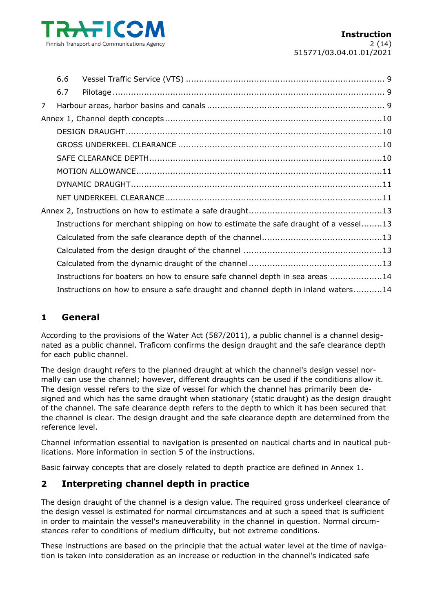

|   | 6.6 |                                                                                      |  |  |
|---|-----|--------------------------------------------------------------------------------------|--|--|
|   | 6.7 |                                                                                      |  |  |
| 7 |     |                                                                                      |  |  |
|   |     |                                                                                      |  |  |
|   |     |                                                                                      |  |  |
|   |     |                                                                                      |  |  |
|   |     |                                                                                      |  |  |
|   |     |                                                                                      |  |  |
|   |     |                                                                                      |  |  |
|   |     |                                                                                      |  |  |
|   |     |                                                                                      |  |  |
|   |     | Instructions for merchant shipping on how to estimate the safe draught of a vessel13 |  |  |
|   |     |                                                                                      |  |  |
|   |     |                                                                                      |  |  |
|   |     |                                                                                      |  |  |
|   |     | Instructions for boaters on how to ensure safe channel depth in sea areas 14         |  |  |
|   |     | Instructions on how to ensure a safe draught and channel depth in inland waters14    |  |  |

# **1 General**

According to the provisions of the Water Act (587/2011), a public channel is a channel designated as a public channel. Traficom confirms the design draught and the safe clearance depth for each public channel.

The design draught refers to the planned draught at which the channel's design vessel normally can use the channel; however, different draughts can be used if the conditions allow it. The design vessel refers to the size of vessel for which the channel has primarily been designed and which has the same draught when stationary (static draught) as the design draught of the channel. The safe clearance depth refers to the depth to which it has been secured that the channel is clear. The design draught and the safe clearance depth are determined from the reference level.

Channel information essential to navigation is presented on nautical charts and in nautical publications. More information in section 5 of the instructions.

Basic fairway concepts that are closely related to depth practice are defined in Annex 1.

# **2 Interpreting channel depth in practice**

The design draught of the channel is a design value. The required gross underkeel clearance of the design vessel is estimated for normal circumstances and at such a speed that is sufficient in order to maintain the vessel's maneuverability in the channel in question. Normal circumstances refer to conditions of medium difficulty, but not extreme conditions.

These instructions are based on the principle that the actual water level at the time of navigation is taken into consideration as an increase or reduction in the channel's indicated safe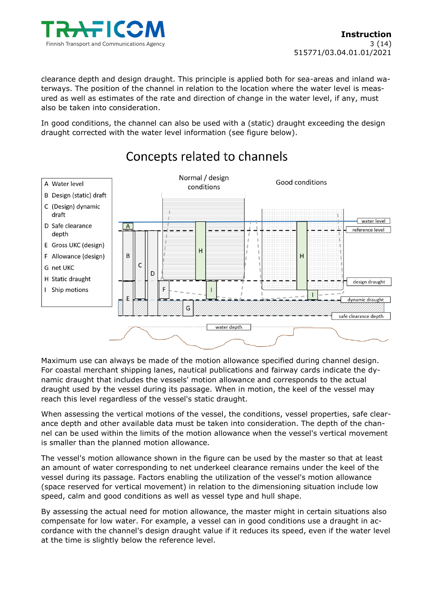

clearance depth and design draught. This principle is applied both for sea-areas and inland waterways. The position of the channel in relation to the location where the water level is measured as well as estimates of the rate and direction of change in the water level, if any, must also be taken into consideration.

In good conditions, the channel can also be used with a (static) draught exceeding the design draught corrected with the water level information (see figure below).



# Concepts related to channels

Maximum use can always be made of the motion allowance specified during channel design. For coastal merchant shipping lanes, nautical publications and fairway cards indicate the dynamic draught that includes the vessels' motion allowance and corresponds to the actual draught used by the vessel during its passage. When in motion, the keel of the vessel may reach this level regardless of the vessel's static draught.

When assessing the vertical motions of the vessel, the conditions, vessel properties, safe clearance depth and other available data must be taken into consideration. The depth of the channel can be used within the limits of the motion allowance when the vessel's vertical movement is smaller than the planned motion allowance.

The vessel's motion allowance shown in the figure can be used by the master so that at least an amount of water corresponding to net underkeel clearance remains under the keel of the vessel during its passage. Factors enabling the utilization of the vessel's motion allowance (space reserved for vertical movement) in relation to the dimensioning situation include low speed, calm and good conditions as well as vessel type and hull shape.

By assessing the actual need for motion allowance, the master might in certain situations also compensate for low water. For example, a vessel can in good conditions use a draught in accordance with the channel's design draught value if it reduces its speed, even if the water level at the time is slightly below the reference level.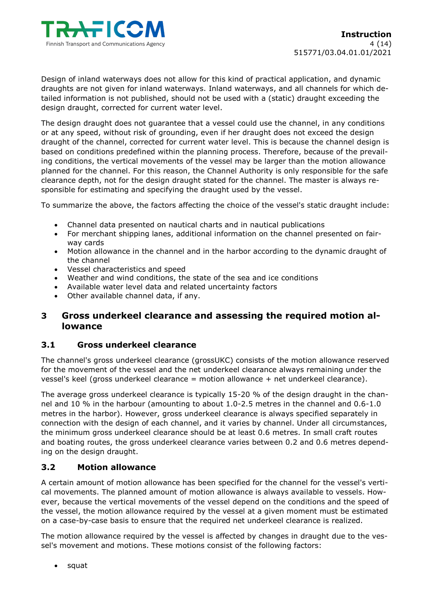

Design of inland waterways does not allow for this kind of practical application, and dynamic draughts are not given for inland waterways. Inland waterways, and all channels for which detailed information is not published, should not be used with a (static) draught exceeding the design draught, corrected for current water level.

The design draught does not guarantee that a vessel could use the channel, in any conditions or at any speed, without risk of grounding, even if her draught does not exceed the design draught of the channel, corrected for current water level. This is because the channel design is based on conditions predefined within the planning process. Therefore, because of the prevailing conditions, the vertical movements of the vessel may be larger than the motion allowance planned for the channel. For this reason, the Channel Authority is only responsible for the safe clearance depth, not for the design draught stated for the channel. The master is always responsible for estimating and specifying the draught used by the vessel.

To summarize the above, the factors affecting the choice of the vessel's static draught include:

- Channel data presented on nautical charts and in nautical publications
- For merchant shipping lanes, additional information on the channel presented on fairway cards
- Motion allowance in the channel and in the harbor according to the dynamic draught of the channel
- Vessel characteristics and speed
- Weather and wind conditions, the state of the sea and ice conditions
- Available water level data and related uncertainty factors
- Other available channel data, if any.

# **3 Gross underkeel clearance and assessing the required motion allowance**

#### **3.1 Gross underkeel clearance**

The channel's gross underkeel clearance (grossUKC) consists of the motion allowance reserved for the movement of the vessel and the net underkeel clearance always remaining under the vessel's keel (gross underkeel clearance = motion allowance + net underkeel clearance).

The average gross underkeel clearance is typically 15-20 % of the design draught in the channel and 10 % in the harbour (amounting to about 1.0-2.5 metres in the channel and 0.6-1.0 metres in the harbor). However, gross underkeel clearance is always specified separately in connection with the design of each channel, and it varies by channel. Under all circumstances, the minimum gross underkeel clearance should be at least 0.6 metres. In small craft routes and boating routes, the gross underkeel clearance varies between 0.2 and 0.6 metres depending on the design draught.

#### **3.2 Motion allowance**

A certain amount of motion allowance has been specified for the channel for the vessel's vertical movements. The planned amount of motion allowance is always available to vessels. However, because the vertical movements of the vessel depend on the conditions and the speed of the vessel, the motion allowance required by the vessel at a given moment must be estimated on a case-by-case basis to ensure that the required net underkeel clearance is realized.

The motion allowance required by the vessel is affected by changes in draught due to the vessel's movement and motions. These motions consist of the following factors:

• squat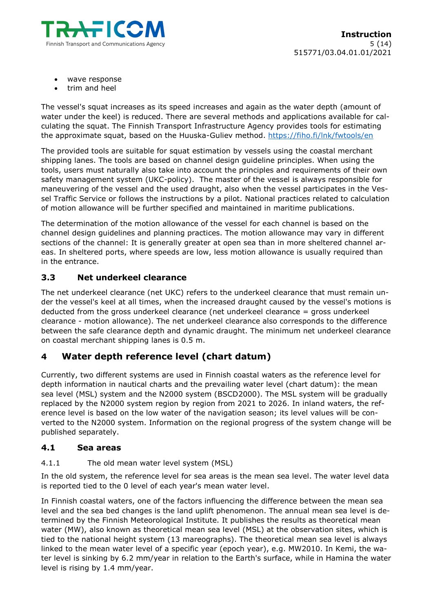

- wave response
- trim and heel

The vessel's squat increases as its speed increases and again as the water depth (amount of water under the keel) is reduced. There are several methods and applications available for calculating the squat. The Finnish Transport Infrastructure Agency provides tools for estimating the approximate squat, based on the Huuska-Guliev method.<https://fiho.fi/lnk/fwtools/en>

The provided tools are suitable for squat estimation by vessels using the coastal merchant shipping lanes. The tools are based on channel design guideline principles. When using the tools, users must naturally also take into account the principles and requirements of their own safety management system (UKC-policy). The master of the vessel is always responsible for maneuvering of the vessel and the used draught, also when the vessel participates in the Vessel Traffic Service or follows the instructions by a pilot. National practices related to calculation of motion allowance will be further specified and maintained in maritime publications.

The determination of the motion allowance of the vessel for each channel is based on the channel design guidelines and planning practices. The motion allowance may vary in different sections of the channel: It is generally greater at open sea than in more sheltered channel areas. In sheltered ports, where speeds are low, less motion allowance is usually required than in the entrance.

# **3.3 Net underkeel clearance**

The net underkeel clearance (net UKC) refers to the underkeel clearance that must remain under the vessel's keel at all times, when the increased draught caused by the vessel's motions is deducted from the gross underkeel clearance (net underkeel clearance = gross underkeel clearance - motion allowance). The net underkeel clearance also corresponds to the difference between the safe clearance depth and dynamic draught. The minimum net underkeel clearance on coastal merchant shipping lanes is 0.5 m.

# **4 Water depth reference level (chart datum)**

Currently, two different systems are used in Finnish coastal waters as the reference level for depth information in nautical charts and the prevailing water level (chart datum): the mean sea level (MSL) system and the N2000 system (BSCD2000). The MSL system will be gradually replaced by the N2000 system region by region from 2021 to 2026. In inland waters, the reference level is based on the low water of the navigation season; its level values will be converted to the N2000 system. Information on the regional progress of the system change will be published separately.

#### **4.1 Sea areas**

#### 4.1.1 The old mean water level system (MSL)

In the old system, the reference level for sea areas is the mean sea level. The water level data is reported tied to the 0 level of each year's mean water level.

In Finnish coastal waters, one of the factors influencing the difference between the mean sea level and the sea bed changes is the land uplift phenomenon. The annual mean sea level is determined by the Finnish Meteorological Institute. It publishes the results as theoretical mean water (MW), also known as theoretical mean sea level (MSL) at the observation sites, which is tied to the national height system (13 mareographs). The theoretical mean sea level is always linked to the mean water level of a specific year (epoch year), e.g. MW2010. In Kemi, the water level is sinking by 6.2 mm/year in relation to the Earth's surface, while in Hamina the water level is rising by 1.4 mm/year.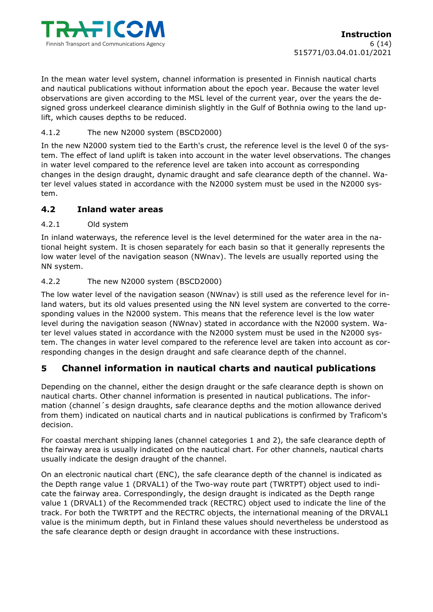

In the mean water level system, channel information is presented in Finnish nautical charts and nautical publications without information about the epoch year. Because the water level observations are given according to the MSL level of the current year, over the years the designed gross underkeel clearance diminish slightly in the Gulf of Bothnia owing to the land uplift, which causes depths to be reduced.

# 4.1.2 The new N2000 system (BSCD2000)

In the new N2000 system tied to the Earth's crust, the reference level is the level 0 of the system. The effect of land uplift is taken into account in the water level observations. The changes in water level compared to the reference level are taken into account as corresponding changes in the design draught, dynamic draught and safe clearance depth of the channel. Water level values stated in accordance with the N2000 system must be used in the N2000 system.

# **4.2 Inland water areas**

#### 4.2.1 Old system

In inland waterways, the reference level is the level determined for the water area in the national height system. It is chosen separately for each basin so that it generally represents the low water level of the navigation season (NWnav). The levels are usually reported using the NN system.

# 4.2.2 The new N2000 system (BSCD2000)

The low water level of the navigation season (NWnav) is still used as the reference level for inland waters, but its old values presented using the NN level system are converted to the corresponding values in the N2000 system. This means that the reference level is the low water level during the navigation season (NWnav) stated in accordance with the N2000 system. Water level values stated in accordance with the N2000 system must be used in the N2000 system. The changes in water level compared to the reference level are taken into account as corresponding changes in the design draught and safe clearance depth of the channel.

# **5 Channel information in nautical charts and nautical publications**

Depending on the channel, either the design draught or the safe clearance depth is shown on nautical charts. Other channel information is presented in nautical publications. The information (channel´s design draughts, safe clearance depths and the motion allowance derived from them) indicated on nautical charts and in nautical publications is confirmed by Traficom's decision.

For coastal merchant shipping lanes (channel categories 1 and 2), the safe clearance depth of the fairway area is usually indicated on the nautical chart. For other channels, nautical charts usually indicate the design draught of the channel.

On an electronic nautical chart (ENC), the safe clearance depth of the channel is indicated as the Depth range value 1 (DRVAL1) of the Two-way route part (TWRTPT) object used to indicate the fairway area. Correspondingly, the design draught is indicated as the Depth range value 1 (DRVAL1) of the Recommended track (RECTRC) object used to indicate the line of the track. For both the TWRTPT and the RECTRC objects, the international meaning of the DRVAL1 value is the minimum depth, but in Finland these values should nevertheless be understood as the safe clearance depth or design draught in accordance with these instructions.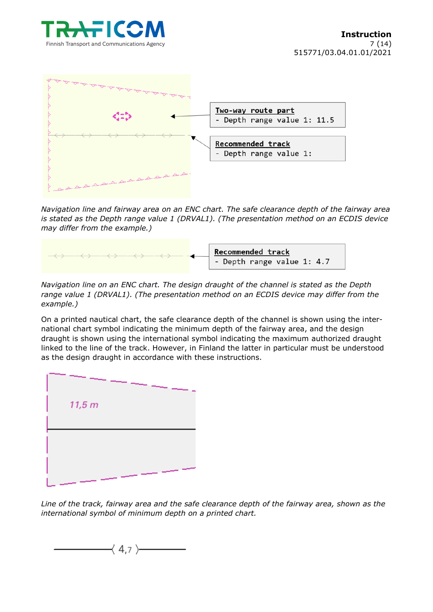



*Navigation line and fairway area on an ENC chart. The safe clearance depth of the fairway area is stated as the Depth range value 1 (DRVAL1). (The presentation method on an ECDIS device may differ from the example.)*



*Navigation line on an ENC chart. The design draught of the channel is stated as the Depth range value 1 (DRVAL1). (The presentation method on an ECDIS device may differ from the example.)*

On a printed nautical chart, the safe clearance depth of the channel is shown using the international chart symbol indicating the minimum depth of the fairway area, and the design draught is shown using the international symbol indicating the maximum authorized draught linked to the line of the track. However, in Finland the latter in particular must be understood as the design draught in accordance with these instructions.



*Line of the track, fairway area and the safe clearance depth of the fairway area, shown as the international symbol of minimum depth on a printed chart.*

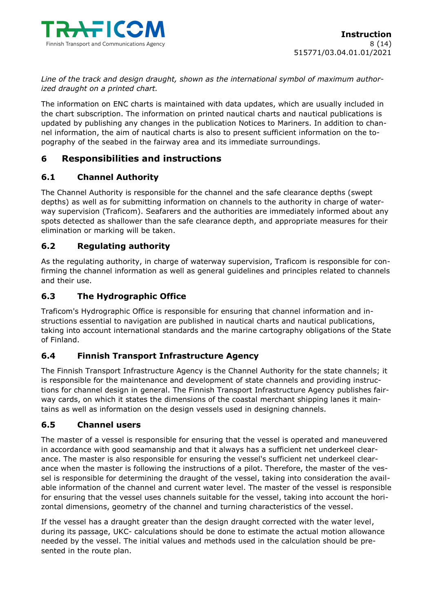

*Line of the track and design draught, shown as the international symbol of maximum authorized draught on a printed chart.*

The information on ENC charts is maintained with data updates, which are usually included in the chart subscription. The information on printed nautical charts and nautical publications is updated by publishing any changes in the publication Notices to Mariners. In addition to channel information, the aim of nautical charts is also to present sufficient information on the topography of the seabed in the fairway area and its immediate surroundings.

# **6 Responsibilities and instructions**

# **6.1 Channel Authority**

The Channel Authority is responsible for the channel and the safe clearance depths (swept depths) as well as for submitting information on channels to the authority in charge of waterway supervision (Traficom). Seafarers and the authorities are immediately informed about any spots detected as shallower than the safe clearance depth, and appropriate measures for their elimination or marking will be taken.

# **6.2 Regulating authority**

As the regulating authority, in charge of waterway supervision, Traficom is responsible for confirming the channel information as well as general guidelines and principles related to channels and their use.

# **6.3 The Hydrographic Office**

Traficom's Hydrographic Office is responsible for ensuring that channel information and instructions essential to navigation are published in nautical charts and nautical publications, taking into account international standards and the marine cartography obligations of the State of Finland.

# **6.4 Finnish Transport Infrastructure Agency**

The Finnish Transport Infrastructure Agency is the Channel Authority for the state channels; it is responsible for the maintenance and development of state channels and providing instructions for channel design in general. The Finnish Transport Infrastructure Agency publishes fairway cards, on which it states the dimensions of the coastal merchant shipping lanes it maintains as well as information on the design vessels used in designing channels.

#### **6.5 Channel users**

The master of a vessel is responsible for ensuring that the vessel is operated and maneuvered in accordance with good seamanship and that it always has a sufficient net underkeel clearance. The master is also responsible for ensuring the vessel's sufficient net underkeel clearance when the master is following the instructions of a pilot. Therefore, the master of the vessel is responsible for determining the draught of the vessel, taking into consideration the available information of the channel and current water level. The master of the vessel is responsible for ensuring that the vessel uses channels suitable for the vessel, taking into account the horizontal dimensions, geometry of the channel and turning characteristics of the vessel.

If the vessel has a draught greater than the design draught corrected with the water level, during its passage, UKC- calculations should be done to estimate the actual motion allowance needed by the vessel. The initial values and methods used in the calculation should be presented in the route plan.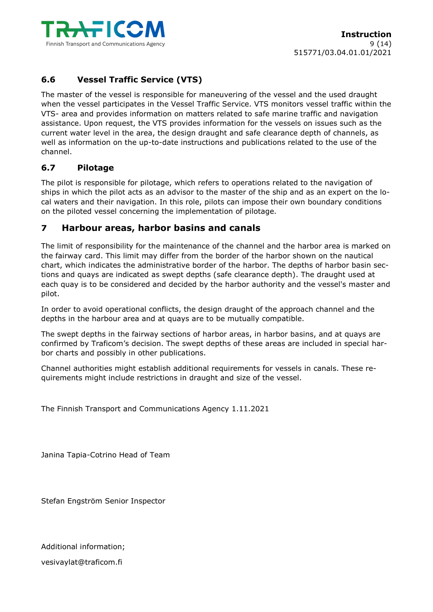

# **6.6 Vessel Traffic Service (VTS)**

The master of the vessel is responsible for maneuvering of the vessel and the used draught when the vessel participates in the Vessel Traffic Service. VTS monitors vessel traffic within the VTS- area and provides information on matters related to safe marine traffic and navigation assistance. Upon request, the VTS provides information for the vessels on issues such as the current water level in the area, the design draught and safe clearance depth of channels, as well as information on the up-to-date instructions and publications related to the use of the channel.

# **6.7 Pilotage**

The pilot is responsible for pilotage, which refers to operations related to the navigation of ships in which the pilot acts as an advisor to the master of the ship and as an expert on the local waters and their navigation. In this role, pilots can impose their own boundary conditions on the piloted vessel concerning the implementation of pilotage.

# **7 Harbour areas, harbor basins and canals**

The limit of responsibility for the maintenance of the channel and the harbor area is marked on the fairway card. This limit may differ from the border of the harbor shown on the nautical chart, which indicates the administrative border of the harbor. The depths of harbor basin sections and quays are indicated as swept depths (safe clearance depth). The draught used at each quay is to be considered and decided by the harbor authority and the vessel's master and pilot.

In order to avoid operational conflicts, the design draught of the approach channel and the depths in the harbour area and at quays are to be mutually compatible.

The swept depths in the fairway sections of harbor areas, in harbor basins, and at quays are confirmed by Traficom's decision. The swept depths of these areas are included in special harbor charts and possibly in other publications.

Channel authorities might establish additional requirements for vessels in canals. These requirements might include restrictions in draught and size of the vessel.

The Finnish Transport and Communications Agency 1.11.2021

Janina Tapia-Cotrino Head of Team

Stefan Engström Senior Inspector

Additional information; vesivaylat@traficom.fi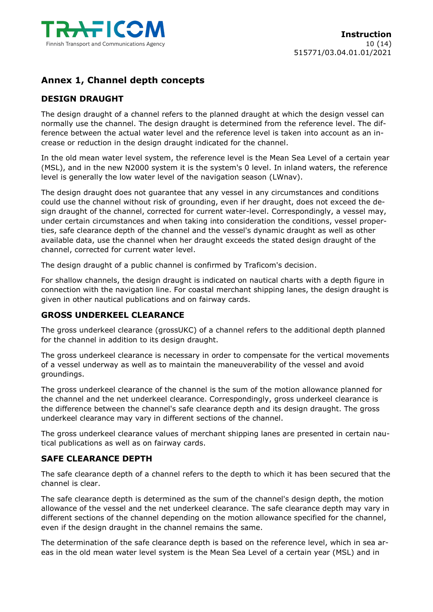

# **Annex 1, Channel depth concepts**

# **DESIGN DRAUGHT**

The design draught of a channel refers to the planned draught at which the design vessel can normally use the channel. The design draught is determined from the reference level. The difference between the actual water level and the reference level is taken into account as an increase or reduction in the design draught indicated for the channel.

In the old mean water level system, the reference level is the Mean Sea Level of a certain year (MSL), and in the new N2000 system it is the system's 0 level. In inland waters, the reference level is generally the low water level of the navigation season (LWnav).

The design draught does not guarantee that any vessel in any circumstances and conditions could use the channel without risk of grounding, even if her draught, does not exceed the design draught of the channel, corrected for current water-level. Correspondingly, a vessel may, under certain circumstances and when taking into consideration the conditions, vessel properties, safe clearance depth of the channel and the vessel's dynamic draught as well as other available data, use the channel when her draught exceeds the stated design draught of the channel, corrected for current water level.

The design draught of a public channel is confirmed by Traficom's decision.

For shallow channels, the design draught is indicated on nautical charts with a depth figure in connection with the navigation line. For coastal merchant shipping lanes, the design draught is given in other nautical publications and on fairway cards.

#### **GROSS UNDERKEEL CLEARANCE**

The gross underkeel clearance (grossUKC) of a channel refers to the additional depth planned for the channel in addition to its design draught.

The gross underkeel clearance is necessary in order to compensate for the vertical movements of a vessel underway as well as to maintain the maneuverability of the vessel and avoid groundings.

The gross underkeel clearance of the channel is the sum of the motion allowance planned for the channel and the net underkeel clearance. Correspondingly, gross underkeel clearance is the difference between the channel's safe clearance depth and its design draught. The gross underkeel clearance may vary in different sections of the channel.

The gross underkeel clearance values of merchant shipping lanes are presented in certain nautical publications as well as on fairway cards.

#### **SAFE CLEARANCE DEPTH**

The safe clearance depth of a channel refers to the depth to which it has been secured that the channel is clear.

The safe clearance depth is determined as the sum of the channel's design depth, the motion allowance of the vessel and the net underkeel clearance. The safe clearance depth may vary in different sections of the channel depending on the motion allowance specified for the channel, even if the design draught in the channel remains the same.

The determination of the safe clearance depth is based on the reference level, which in sea areas in the old mean water level system is the Mean Sea Level of a certain year (MSL) and in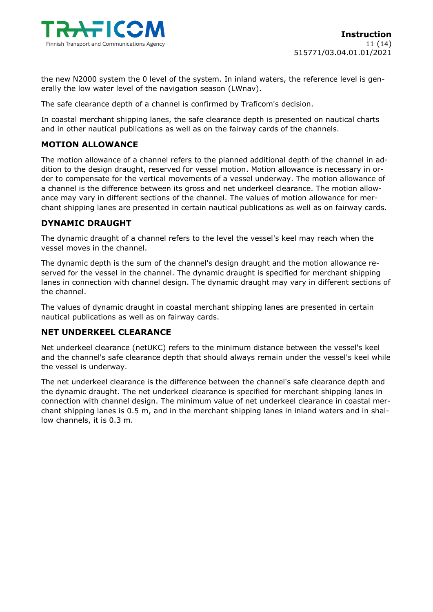

the new N2000 system the 0 level of the system. In inland waters, the reference level is generally the low water level of the navigation season (LWnav).

The safe clearance depth of a channel is confirmed by Traficom's decision.

In coastal merchant shipping lanes, the safe clearance depth is presented on nautical charts and in other nautical publications as well as on the fairway cards of the channels.

#### **MOTION ALLOWANCE**

The motion allowance of a channel refers to the planned additional depth of the channel in addition to the design draught, reserved for vessel motion. Motion allowance is necessary in order to compensate for the vertical movements of a vessel underway. The motion allowance of a channel is the difference between its gross and net underkeel clearance. The motion allowance may vary in different sections of the channel. The values of motion allowance for merchant shipping lanes are presented in certain nautical publications as well as on fairway cards.

# **DYNAMIC DRAUGHT**

The dynamic draught of a channel refers to the level the vessel's keel may reach when the vessel moves in the channel.

The dynamic depth is the sum of the channel's design draught and the motion allowance reserved for the vessel in the channel. The dynamic draught is specified for merchant shipping lanes in connection with channel design. The dynamic draught may vary in different sections of the channel.

The values of dynamic draught in coastal merchant shipping lanes are presented in certain nautical publications as well as on fairway cards.

#### **NET UNDERKEEL CLEARANCE**

Net underkeel clearance (netUKC) refers to the minimum distance between the vessel's keel and the channel's safe clearance depth that should always remain under the vessel's keel while the vessel is underway.

The net underkeel clearance is the difference between the channel's safe clearance depth and the dynamic draught. The net underkeel clearance is specified for merchant shipping lanes in connection with channel design. The minimum value of net underkeel clearance in coastal merchant shipping lanes is 0.5 m, and in the merchant shipping lanes in inland waters and in shallow channels, it is 0.3 m.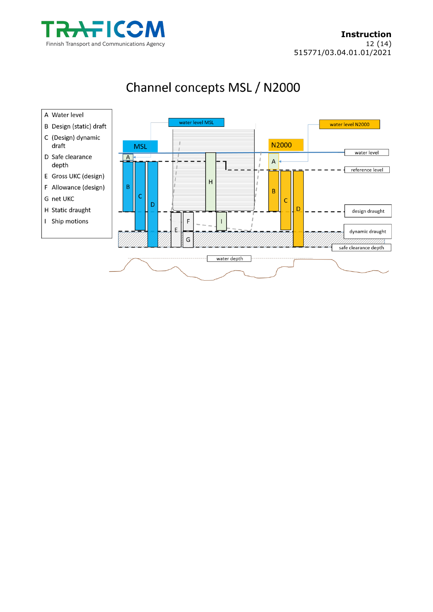



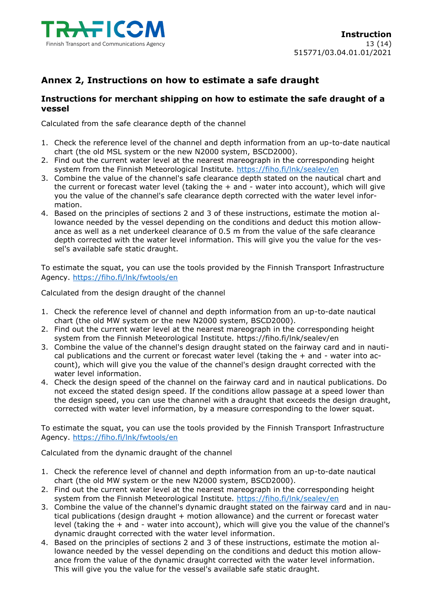

# **Annex 2, Instructions on how to estimate a safe draught**

# **Instructions for merchant shipping on how to estimate the safe draught of a vessel**

Calculated from the safe clearance depth of the channel

- 1. Check the reference level of the channel and depth information from an up-to-date nautical chart (the old MSL system or the new N2000 system, BSCD2000).
- 2. Find out the current water level at the nearest mareograph in the corresponding height system from the Finnish Meteorological Institute.<https://fiho.fi/lnk/sealev/en>
- 3. Combine the value of the channel's safe clearance depth stated on the nautical chart and the current or forecast water level (taking the  $+$  and  $-$  water into account), which will give you the value of the channel's safe clearance depth corrected with the water level information.
- 4. Based on the principles of sections 2 and 3 of these instructions, estimate the motion allowance needed by the vessel depending on the conditions and deduct this motion allowance as well as a net underkeel clearance of 0.5 m from the value of the safe clearance depth corrected with the water level information. This will give you the value for the vessel's available safe static draught.

To estimate the squat, you can use the tools provided by the Finnish Transport Infrastructure Agency.<https://fiho.fi/lnk/fwtools/en>

Calculated from the design draught of the channel

- 1. Check the reference level of channel and depth information from an up-to-date nautical chart (the old MW system or the new N2000 system, BSCD2000).
- 2. Find out the current water level at the nearest mareograph in the corresponding height system from the Finnish Meteorological Institute.<https://fiho.fi/lnk/sealev/en>
- 3. Combine the value of the channel's design draught stated on the fairway card and in nautical publications and the current or forecast water level (taking the  $+$  and  $-$  water into account), which will give you the value of the channel's design draught corrected with the water level information.
- 4. Check the design speed of the channel on the fairway card and in nautical publications. Do not exceed the stated design speed. If the conditions allow passage at a speed lower than the design speed, you can use the channel with a draught that exceeds the design draught, corrected with water level information, by a measure corresponding to the lower squat.

To estimate the squat, you can use the tools provided by the Finnish Transport Infrastructure Agency.<https://fiho.fi/lnk/fwtools/en>

Calculated from the dynamic draught of the channel

- 1. Check the reference level of channel and depth information from an up-to-date nautical chart (the old MW system or the new N2000 system, BSCD2000).
- 2. Find out the current water level at the nearest mareograph in the corresponding height system from the Finnish Meteorological Institute.<https://fiho.fi/lnk/sealev/en>
- 3. Combine the value of the channel's dynamic draught stated on the fairway card and in nautical publications (design draught + motion allowance) and the current or forecast water level (taking the + and - water into account), which will give you the value of the channel's dynamic draught corrected with the water level information.
- 4. Based on the principles of sections 2 and 3 of these instructions, estimate the motion allowance needed by the vessel depending on the conditions and deduct this motion allowance from the value of the dynamic draught corrected with the water level information. This will give you the value for the vessel's available safe static draught.